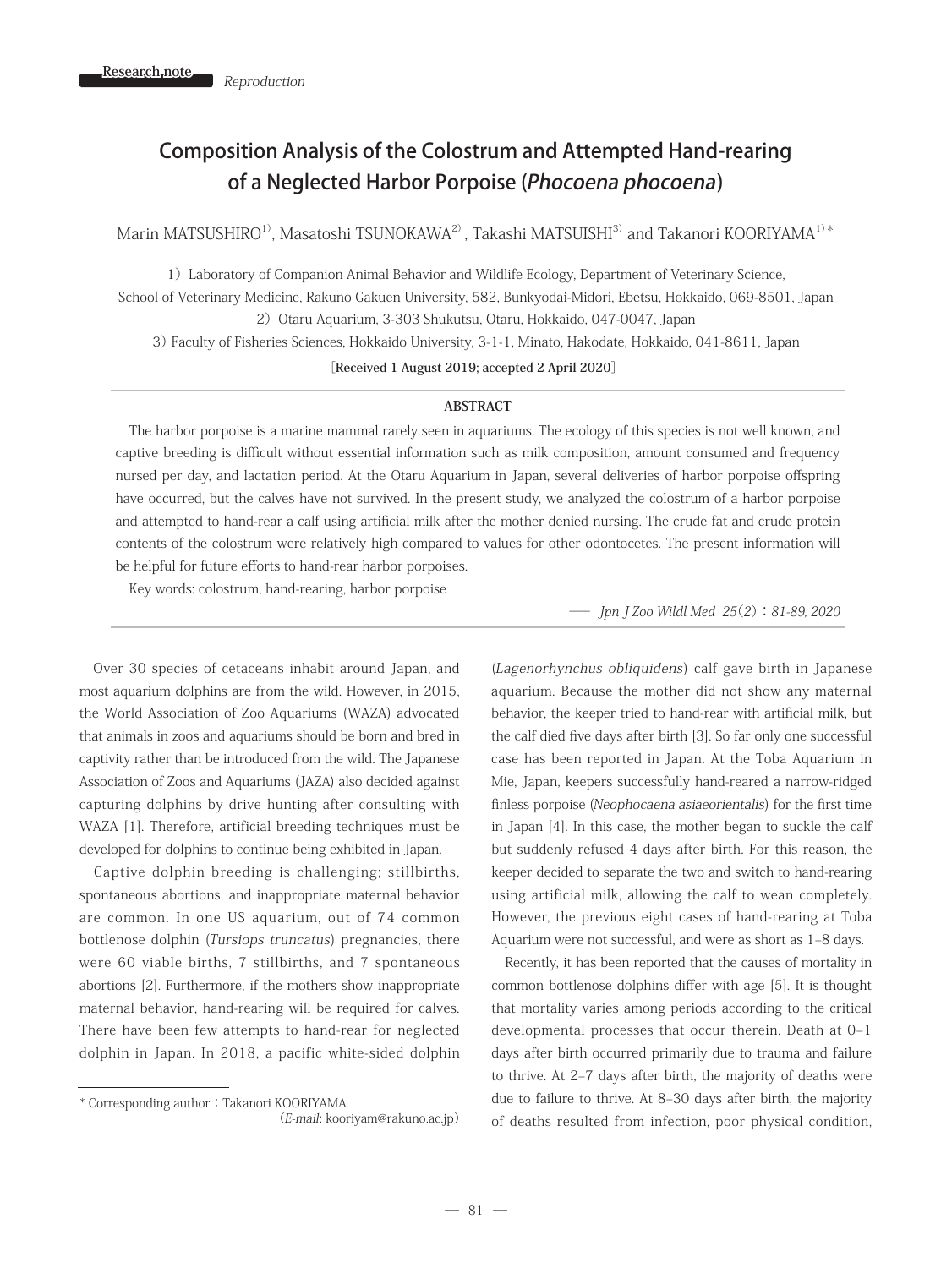# Composition Analysis of the Colostrum and Attempted Hand-rearing of a Neglected Harbor Porpoise (Phocoena phocoena)

Marin MATSUSHIRO<sup>1)</sup>, Masatoshi TSUNOKAWA<sup>2)</sup>, Takashi MATSUISHI<sup>3)</sup> and Takanori KOORIYAMA<sup>1)\*</sup>

1)Laboratory of Companion Animal Behavior and Wildlife Ecology, Department of Veterinary Science,

School of Veterinary Medicine, Rakuno Gakuen University, 582, Bunkyodai-Midori, Ebetsu, Hokkaido, 069-8501, Japan 2) Otaru Aquarium, 3-303 Shukutsu, Otaru, Hokkaido, 047-0047, Japan

3) Faculty of Fisheries Sciences, Hokkaido University, 3-1-1, Minato, Hakodate, Hokkaido, 041-8611, Japan

**[Received 1 August 2019; accepted 2 April 2020]**

#### **ABSTRACT**

 The harbor porpoise is a marine mammal rarely seen in aquariums. The ecology of this species is not well known, and captive breeding is difficult without essential information such as milk composition, amount consumed and frequency nursed per day, and lactation period. At the Otaru Aquarium in Japan, several deliveries of harbor porpoise offspring have occurred, but the calves have not survived. In the present study, we analyzed the colostrum of a harbor porpoise and attempted to hand-rear a calf using artificial milk after the mother denied nursing. The crude fat and crude protein contents of the colostrum were relatively high compared to values for other odontocetes. The present information will be helpful for future efforts to hand-rear harbor porpoises.

Key words: colostrum, hand-rearing, harbor porpoise

 Over 30 species of cetaceans inhabit around Japan, and most aquarium dolphins are from the wild. However, in 2015, the World Association of Zoo Aquariums (WAZA) advocated that animals in zoos and aquariums should be born and bred in captivity rather than be introduced from the wild. The Japanese Association of Zoos and Aquariums (JAZA) also decided against capturing dolphins by drive hunting after consulting with WAZA [1]. Therefore, artificial breeding techniques must be developed for dolphins to continue being exhibited in Japan.

 Captive dolphin breeding is challenging; stillbirths, spontaneous abortions, and inappropriate maternal behavior are common. In one US aquarium, out of 74 common bottlenose dolphin (Tursiops truncatus) pregnancies, there were 60 viable births, 7 stillbirths, and 7 spontaneous abortions [2]. Furthermore, if the mothers show inappropriate maternal behavior, hand-rearing will be required for calves. There have been few attempts to hand-rear for neglected dolphin in Japan. In 2018, a pacific white-sided dolphin Jpn J Zoo Wildl Med 25(2): 81-89, 2020

(Lagenorhynchus obliquidens) calf gave birth in Japanese aquarium. Because the mother did not show any maternal behavior, the keeper tried to hand-rear with artificial milk, but the calf died five days after birth [3]. So far only one successful case has been reported in Japan. At the Toba Aquarium in Mie, Japan, keepers successfully hand-reared a narrow-ridged finless porpoise (Neophocaena asiaeorientalis) for the first time in Japan [4]. In this case, the mother began to suckle the calf but suddenly refused 4 days after birth. For this reason, the keeper decided to separate the two and switch to hand-rearing using artificial milk, allowing the calf to wean completely. However, the previous eight cases of hand-rearing at Toba Aquarium were not successful, and were as short as 1–8 days.

 Recently, it has been reported that the causes of mortality in common bottlenose dolphins differ with age [5]. It is thought that mortality varies among periods according to the critical developmental processes that occur therein. Death at 0–1 days after birth occurred primarily due to trauma and failure to thrive. At 2–7 days after birth, the majority of deaths were due to failure to thrive. At 8–30 days after birth, the majority of deaths resulted from infection, poor physical condition,

<sup>\*</sup> Corresponding author:Takanori KOORIYAMA

 <sup>(</sup>E-mail: kooriyam@rakuno.ac.jp)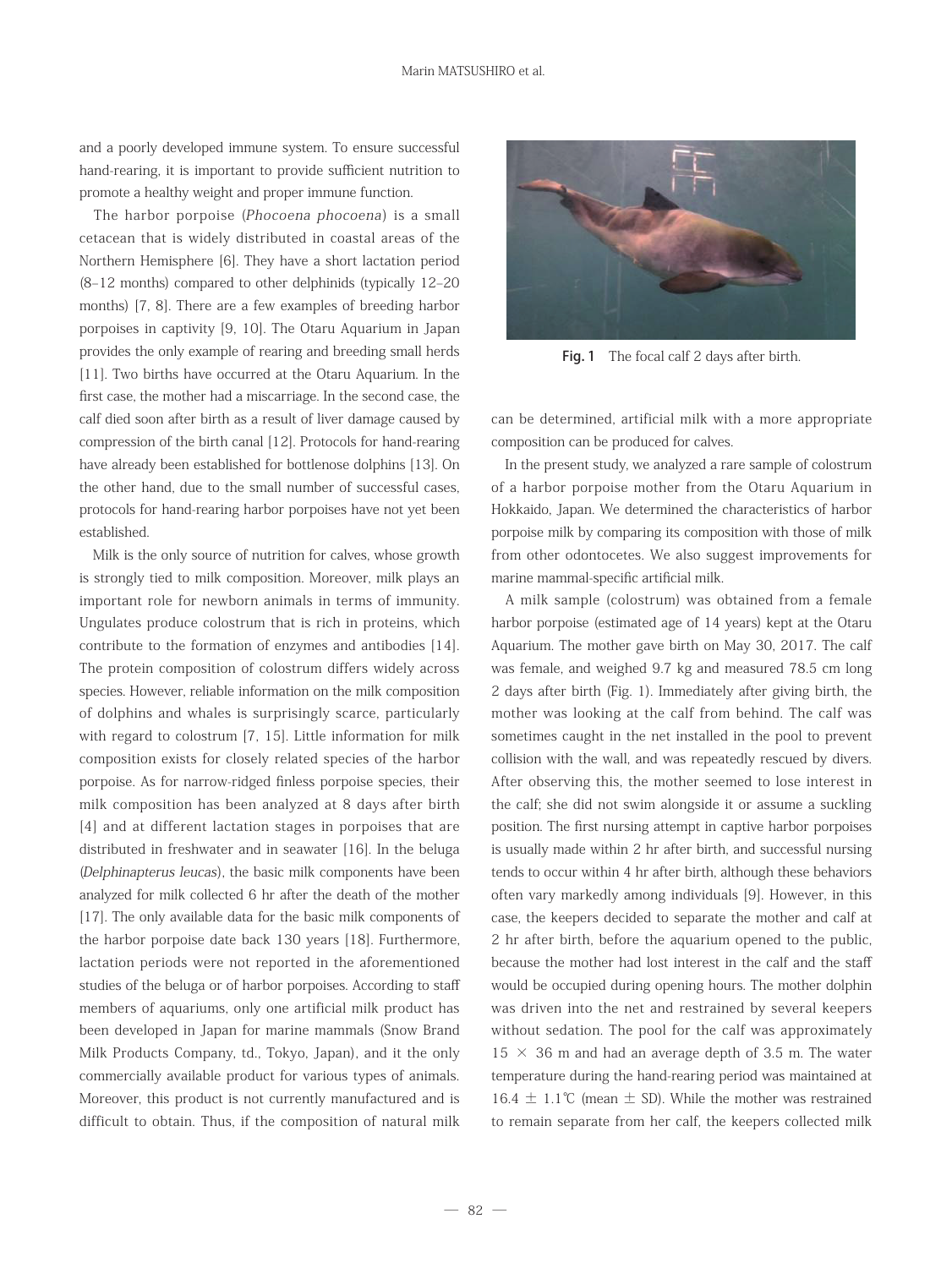and a poorly developed immune system. To ensure successful hand-rearing, it is important to provide sufficient nutrition to promote a healthy weight and proper immune function.

The harbor porpoise (Phocoena phocoena) is a small cetacean that is widely distributed in coastal areas of the Northern Hemisphere [6]. They have a short lactation period (8–12 months) compared to other delphinids (typically 12–20 months) [7, 8]. There are a few examples of breeding harbor porpoises in captivity [9, 10]. The Otaru Aquarium in Japan provides the only example of rearing and breeding small herds [11]. Two births have occurred at the Otaru Aquarium. In the first case, the mother had a miscarriage. In the second case, the calf died soon after birth as a result of liver damage caused by compression of the birth canal [12]. Protocols for hand-rearing have already been established for bottlenose dolphins [13]. On the other hand, due to the small number of successful cases, protocols for hand-rearing harbor porpoises have not yet been established.

 Milk is the only source of nutrition for calves, whose growth is strongly tied to milk composition. Moreover, milk plays an important role for newborn animals in terms of immunity. Ungulates produce colostrum that is rich in proteins, which contribute to the formation of enzymes and antibodies [14]. The protein composition of colostrum differs widely across species. However, reliable information on the milk composition of dolphins and whales is surprisingly scarce, particularly with regard to colostrum [7, 15]. Little information for milk composition exists for closely related species of the harbor porpoise. As for narrow-ridged finless porpoise species, their milk composition has been analyzed at 8 days after birth [4] and at different lactation stages in porpoises that are distributed in freshwater and in seawater [16]. In the beluga (Delphinapterus leucas), the basic milk components have been analyzed for milk collected 6 hr after the death of the mother [17]. The only available data for the basic milk components of the harbor porpoise date back 130 years [18]. Furthermore, lactation periods were not reported in the aforementioned studies of the beluga or of harbor porpoises. According to staff members of aquariums, only one artificial milk product has been developed in Japan for marine mammals (Snow Brand Milk Products Company, td., Tokyo, Japan), and it the only commercially available product for various types of animals. Moreover, this product is not currently manufactured and is difficult to obtain. Thus, if the composition of natural milk



Fig. 1 The focal calf 2 days after birth.

can be determined, artificial milk with a more appropriate composition can be produced for calves.

 In the present study, we analyzed a rare sample of colostrum of a harbor porpoise mother from the Otaru Aquarium in Hokkaido, Japan. We determined the characteristics of harbor porpoise milk by comparing its composition with those of milk from other odontocetes. We also suggest improvements for marine mammal-specific artificial milk.

 A milk sample (colostrum) was obtained from a female harbor porpoise (estimated age of 14 years) kept at the Otaru Aquarium. The mother gave birth on May 30, 2017. The calf was female, and weighed 9.7 kg and measured 78.5 cm long 2 days after birth (Fig. 1). Immediately after giving birth, the mother was looking at the calf from behind. The calf was sometimes caught in the net installed in the pool to prevent collision with the wall, and was repeatedly rescued by divers. After observing this, the mother seemed to lose interest in the calf; she did not swim alongside it or assume a suckling position. The first nursing attempt in captive harbor porpoises is usually made within 2 hr after birth, and successful nursing tends to occur within 4 hr after birth, although these behaviors often vary markedly among individuals [9]. However, in this case, the keepers decided to separate the mother and calf at 2 hr after birth, before the aquarium opened to the public, because the mother had lost interest in the calf and the staff would be occupied during opening hours. The mother dolphin was driven into the net and restrained by several keepers without sedation. The pool for the calf was approximately  $15 \times 36$  m and had an average depth of 3.5 m. The water temperature during the hand-rearing period was maintained at 16.4  $±$  1.1℃ (mean  $±$  SD). While the mother was restrained to remain separate from her calf, the keepers collected milk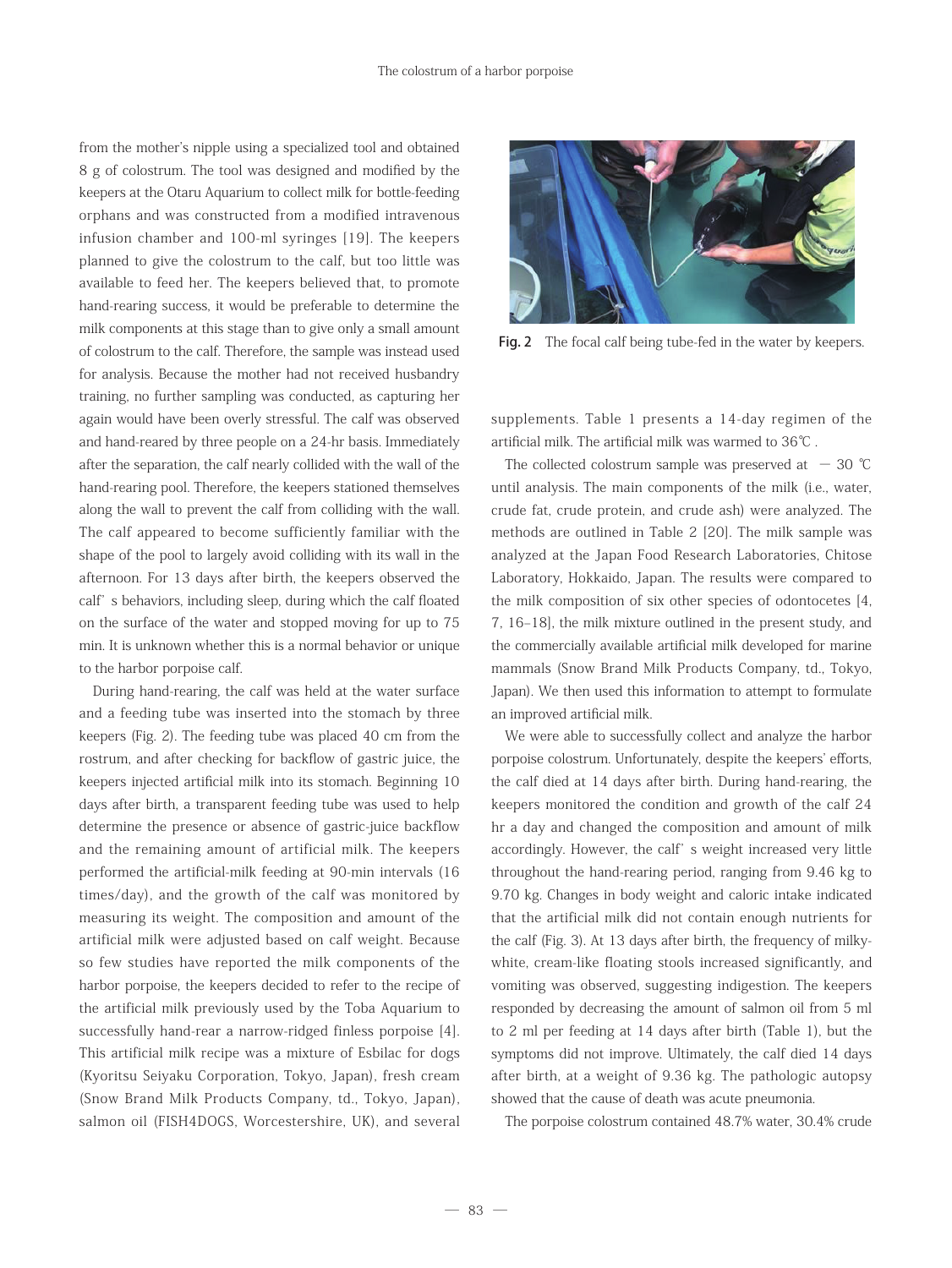from the mother's nipple using a specialized tool and obtained 8 g of colostrum. The tool was designed and modified by the keepers at the Otaru Aquarium to collect milk for bottle-feeding orphans and was constructed from a modified intravenous infusion chamber and 100-ml syringes [19]. The keepers planned to give the colostrum to the calf, but too little was available to feed her. The keepers believed that, to promote hand-rearing success, it would be preferable to determine the milk components at this stage than to give only a small amount of colostrum to the calf. Therefore, the sample was instead used for analysis. Because the mother had not received husbandry training, no further sampling was conducted, as capturing her again would have been overly stressful. The calf was observed and hand-reared by three people on a 24-hr basis. Immediately after the separation, the calf nearly collided with the wall of the hand-rearing pool. Therefore, the keepers stationed themselves along the wall to prevent the calf from colliding with the wall. The calf appeared to become sufficiently familiar with the shape of the pool to largely avoid colliding with its wall in the afternoon. For 13 days after birth, the keepers observed the calf' s behaviors, including sleep, during which the calf floated on the surface of the water and stopped moving for up to 75 min. It is unknown whether this is a normal behavior or unique to the harbor porpoise calf.

 During hand-rearing, the calf was held at the water surface and a feeding tube was inserted into the stomach by three keepers (Fig. 2). The feeding tube was placed 40 cm from the rostrum, and after checking for backflow of gastric juice, the keepers injected artificial milk into its stomach. Beginning 10 days after birth, a transparent feeding tube was used to help determine the presence or absence of gastric-juice backflow and the remaining amount of artificial milk. The keepers performed the artificial-milk feeding at 90-min intervals (16 times/day), and the growth of the calf was monitored by measuring its weight. The composition and amount of the artificial milk were adjusted based on calf weight. Because so few studies have reported the milk components of the harbor porpoise, the keepers decided to refer to the recipe of the artificial milk previously used by the Toba Aquarium to successfully hand-rear a narrow-ridged finless porpoise [4]. This artificial milk recipe was a mixture of Esbilac for dogs (Kyoritsu Seiyaku Corporation, Tokyo, Japan), fresh cream (Snow Brand Milk Products Company, td., Tokyo, Japan), salmon oil (FISH4DOGS, Worcestershire, UK), and several



Fig. 2 The focal calf being tube-fed in the water by keepers.

supplements. Table 1 presents a 14-day regimen of the artificial milk. The artificial milk was warmed to 36℃ .

The collected colostrum sample was preserved at  $-30$  °C until analysis. The main components of the milk (i.e., water, crude fat, crude protein, and crude ash) were analyzed. The methods are outlined in Table 2 [20]. The milk sample was analyzed at the Japan Food Research Laboratories, Chitose Laboratory, Hokkaido, Japan. The results were compared to the milk composition of six other species of odontocetes [4, 7, 16–18], the milk mixture outlined in the present study, and the commercially available artificial milk developed for marine mammals (Snow Brand Milk Products Company, td., Tokyo, Japan). We then used this information to attempt to formulate an improved artificial milk.

 We were able to successfully collect and analyze the harbor porpoise colostrum. Unfortunately, despite the keepers' efforts, the calf died at 14 days after birth. During hand-rearing, the keepers monitored the condition and growth of the calf 24 hr a day and changed the composition and amount of milk accordingly. However, the calf' s weight increased very little throughout the hand-rearing period, ranging from 9.46 kg to 9.70 kg. Changes in body weight and caloric intake indicated that the artificial milk did not contain enough nutrients for the calf (Fig. 3). At 13 days after birth, the frequency of milkywhite, cream-like floating stools increased significantly, and vomiting was observed, suggesting indigestion. The keepers responded by decreasing the amount of salmon oil from 5 ml to 2 ml per feeding at 14 days after birth (Table 1), but the symptoms did not improve. Ultimately, the calf died 14 days after birth, at a weight of 9.36 kg. The pathologic autopsy showed that the cause of death was acute pneumonia.

The porpoise colostrum contained 48.7% water, 30.4% crude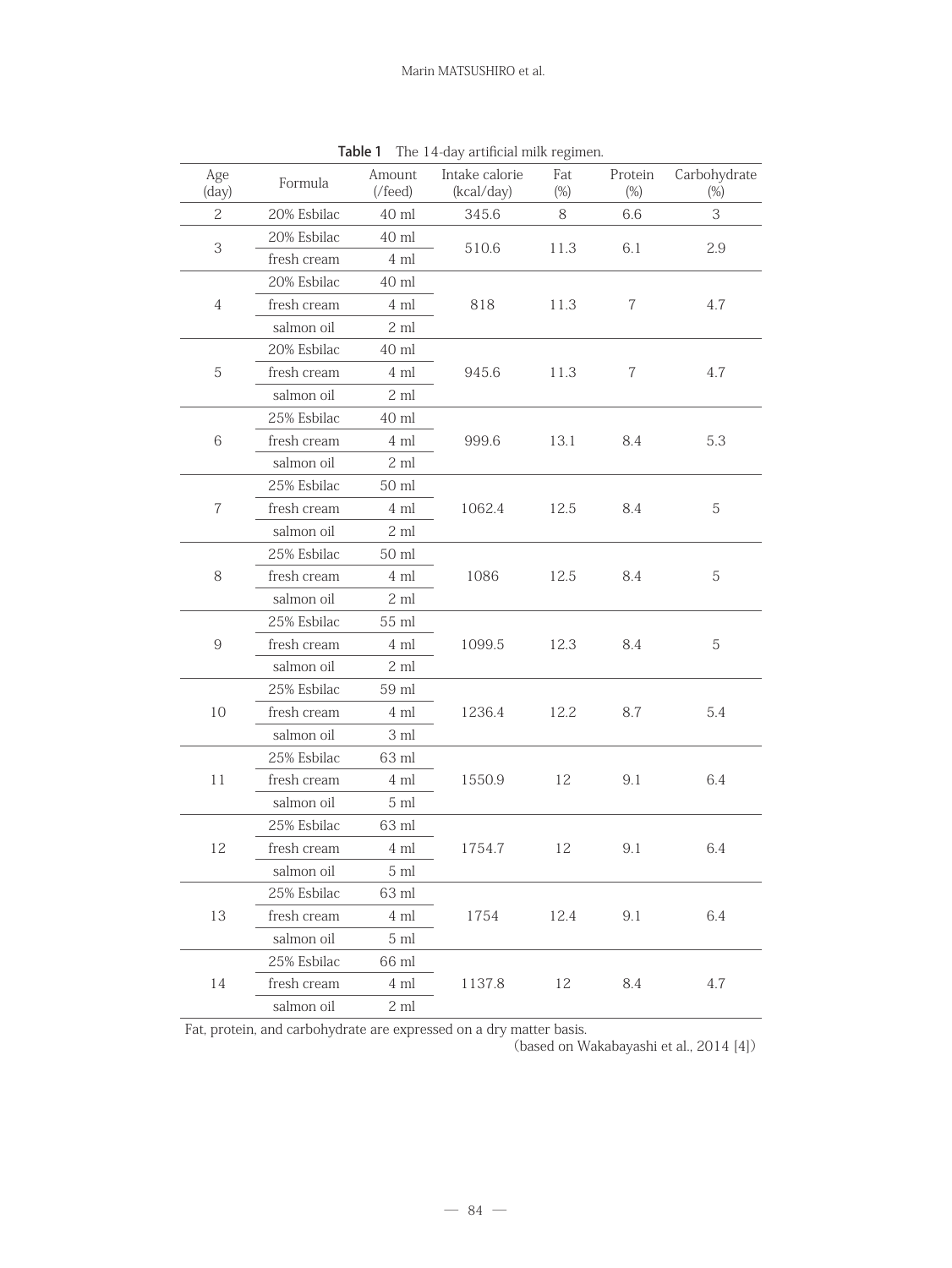| Age<br>Formula<br>(day) |             | Amount<br>$(\text{/feed})$ | Intake calorie<br>(kcal/day) | Fat<br>$(\%)$ | Protein<br>$(\%)$ | Carbohydrate<br>$(\%)$ |  |
|-------------------------|-------------|----------------------------|------------------------------|---------------|-------------------|------------------------|--|
| 2                       | 20% Esbilac | 40 ml                      | 345.6                        | 8             | 6.6               | 3                      |  |
|                         | 20% Esbilac | $40$ ml                    |                              |               |                   |                        |  |
| 3                       | fresh cream | 4 ml                       | 510.6                        | 11.3          | 6.1               | 2.9                    |  |
|                         | 20% Esbilac | 40 ml                      |                              |               |                   |                        |  |
| $\overline{4}$          | fresh cream | 4 ml                       | 818                          | 11.3          | 7                 | 4.7                    |  |
|                         | salmon oil  | $2 \mathrm{ml}$            |                              |               |                   |                        |  |
|                         | 20% Esbilac | 40 ml                      |                              |               |                   |                        |  |
| $\mathbf 5$             | fresh cream | 4 ml                       | 945.6                        | 11.3          | $\overline{7}$    | 4.7                    |  |
|                         | salmon oil  | $2\ \mathrm{ml}$           |                              |               |                   |                        |  |
|                         | 25% Esbilac | 40 ml                      |                              |               |                   |                        |  |
| 6                       | fresh cream | $4\mathrm{m}$              | 999.6                        | 13.1          | 8.4               | 5.3                    |  |
|                         | salmon oil  | $2\ \mathrm{ml}$           |                              |               |                   |                        |  |
|                         | 25% Esbilac | 50 ml                      |                              |               |                   |                        |  |
| $\,7$                   | fresh cream | 4 ml                       | 1062.4                       | 12.5          | 8.4               | $\,$ 5 $\,$            |  |
|                         | salmon oil  | 2 ml                       |                              |               |                   |                        |  |
|                         | 25% Esbilac | 50 ml                      |                              |               |                   |                        |  |
| 8                       | fresh cream | 4 ml                       | 1086                         | 12.5          | 8.4               | 5                      |  |
|                         | salmon oil  | $2\ \mathrm{ml}$           |                              |               |                   |                        |  |
|                         | 25% Esbilac | 55 ml                      |                              |               |                   |                        |  |
| $\,9$                   | fresh cream | 4 ml                       | 1099.5                       | 12.3          | 8.4               | 5                      |  |
|                         | salmon oil  | $2\ \mathrm{ml}$           |                              |               |                   |                        |  |
|                         | 25% Esbilac | 59 ml                      |                              |               |                   |                        |  |
| 10                      | fresh cream | 4 ml                       | 1236.4                       | 12.2          | 8.7               | 5.4                    |  |
|                         | salmon oil  | 3 ml                       |                              |               |                   |                        |  |
|                         | 25% Esbilac | 63 ml                      |                              |               |                   |                        |  |
| 11                      | fresh cream | 4 ml                       | 1550.9                       | 12            | 9.1               | 6.4                    |  |
|                         | salmon oil  | $5\ {\rm ml}$              |                              |               |                   |                        |  |
|                         | 25% Esbilac | 63 ml                      |                              |               |                   |                        |  |
| 12                      | fresh cream | $4\mathrm{ml}$             | 1754.7                       | 12            | 9.1               | 6.4                    |  |
|                         | salmon oil  | $5 \mathrm{ml}$            |                              |               |                   |                        |  |
| 13                      | 25% Esbilac | 63 ml                      |                              |               |                   |                        |  |
|                         | fresh cream | 4 ml                       | 1754                         | 12.4          | 9.1               | 6.4                    |  |
|                         | salmon oil  | $5 \mathrm{ml}$            |                              |               |                   |                        |  |
|                         | 25% Esbilac | 66 ml                      |                              |               |                   |                        |  |
| 14                      | fresh cream | 4 ml                       | 1137.8                       | 12            | 8.4               | 4.7                    |  |
|                         | salmon oil  | $2 \mathrm{ml}$            |                              |               |                   |                        |  |

Table 1 The 14-day artificial milk regimen.

Fat, protein, and carbohydrate are expressed on a dry matter basis.

(based on Wakabayashi et al., 2014 [4])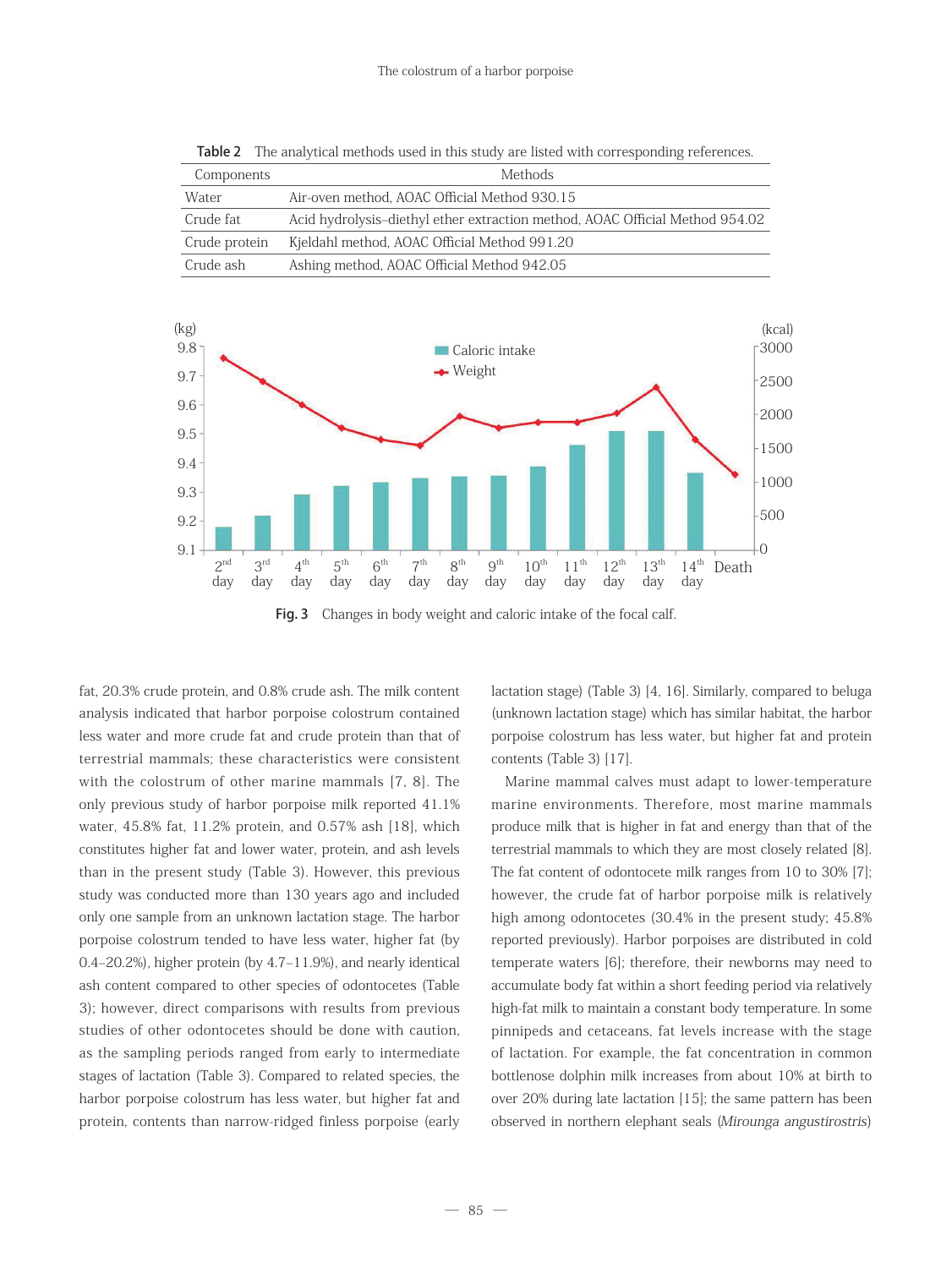| Components    | Methods                                                                      |
|---------------|------------------------------------------------------------------------------|
| Water         | Air-oven method. AOAC Official Method 930.15                                 |
| Crude fat     | Acid hydrolysis-diethyl ether extraction method, AOAC Official Method 954.02 |
| Crude protein | Kjeldahl method, AOAC Official Method 991.20                                 |
| Crude ash     | Ashing method, AOAC Official Method 942.05                                   |

Table 2 The analytical methods used in this study are listed with corresponding references.





fat, 20.3% crude protein, and 0.8% crude ash. The milk content analysis indicated that harbor porpoise colostrum contained less water and more crude fat and crude protein than that of terrestrial mammals; these characteristics were consistent with the colostrum of other marine mammals [7, 8]. The only previous study of harbor porpoise milk reported 41.1% water, 45.8% fat, 11.2% protein, and 0.57% ash [18], which constitutes higher fat and lower water, protein, and ash levels than in the present study (Table 3). However, this previous study was conducted more than 130 years ago and included only one sample from an unknown lactation stage. The harbor porpoise colostrum tended to have less water, higher fat (by 0.4–20.2%), higher protein (by 4.7–11.9%), and nearly identical ash content compared to other species of odontocetes (Table 3); however, direct comparisons with results from previous studies of other odontocetes should be done with caution, as the sampling periods ranged from early to intermediate stages of lactation (Table 3). Compared to related species, the harbor porpoise colostrum has less water, but higher fat and protein, contents than narrow-ridged finless porpoise (early

lactation stage) (Table 3) [4, 16]. Similarly, compared to beluga (unknown lactation stage) which has similar habitat, the harbor porpoise colostrum has less water, but higher fat and protein contents (Table 3) [17].

 Marine mammal calves must adapt to lower-temperature marine environments. Therefore, most marine mammals produce milk that is higher in fat and energy than that of the terrestrial mammals to which they are most closely related [8]. The fat content of odontocete milk ranges from 10 to 30% [7]; however, the crude fat of harbor porpoise milk is relatively high among odontocetes (30.4% in the present study; 45.8% reported previously). Harbor porpoises are distributed in cold temperate waters [6]; therefore, their newborns may need to accumulate body fat within a short feeding period via relatively high-fat milk to maintain a constant body temperature. In some pinnipeds and cetaceans, fat levels increase with the stage of lactation. For example, the fat concentration in common bottlenose dolphin milk increases from about 10% at birth to over 20% during late lactation [15]; the same pattern has been observed in northern elephant seals (Mirounga angustirostris)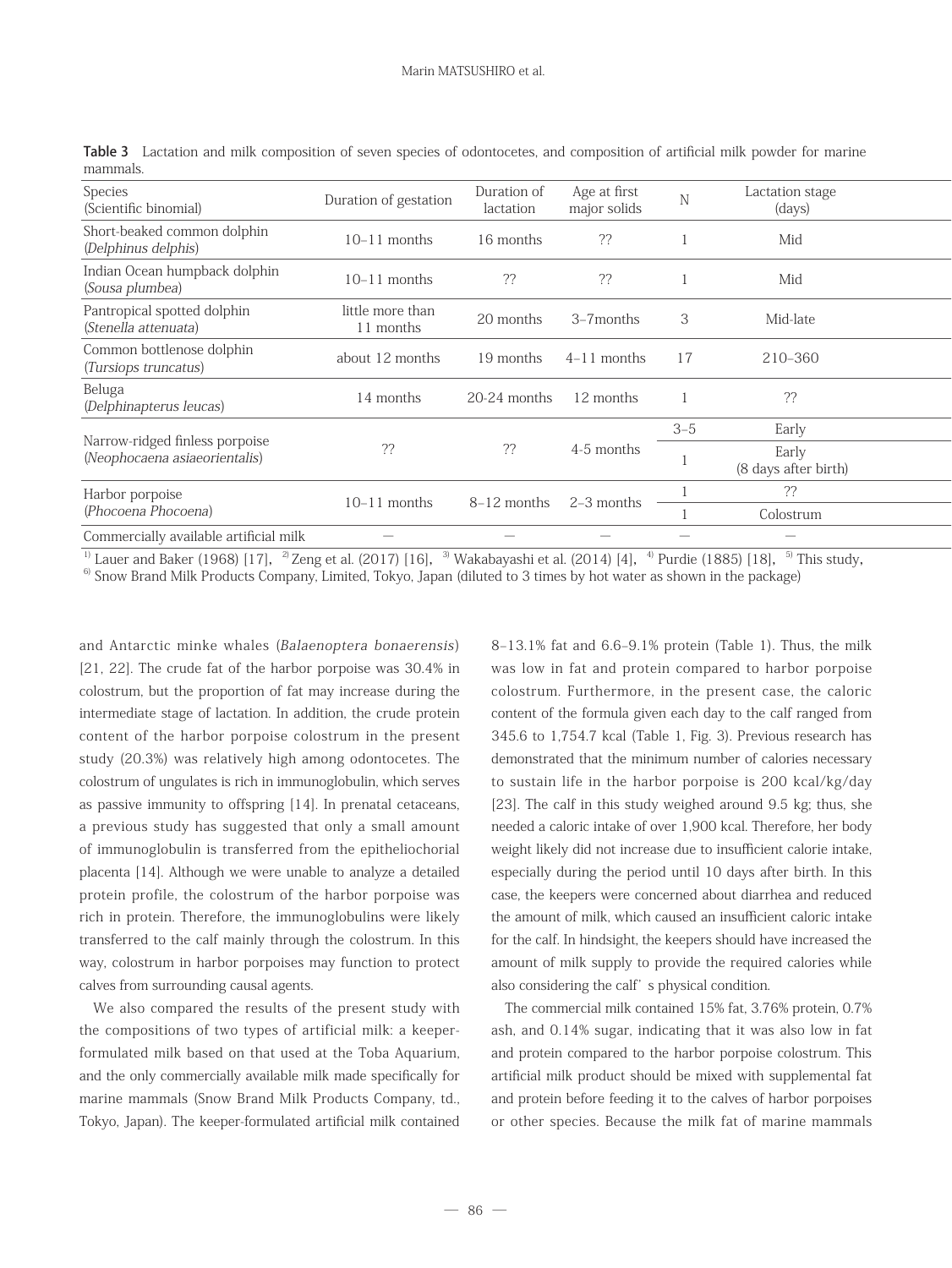| Species<br>(Scientific binomial)                                | Duration of gestation           | Duration of<br>lactation        | Age at first<br>major solids | $\mathbf N$              | Lactation stage<br>(days)       |  |
|-----------------------------------------------------------------|---------------------------------|---------------------------------|------------------------------|--------------------------|---------------------------------|--|
| Short-beaked common dolphin<br>(Delphinus delphis)              | $10-11$ months                  | 16 months                       | ??                           |                          | Mid                             |  |
| Indian Ocean humpback dolphin<br>(Sousa plumbea)                | $10-11$ months                  | ??                              | ??                           |                          | Mid                             |  |
| Pantropical spotted dolphin<br>(Stenella attenuata)             | little more than<br>11 months   | 20 months                       | 3-7months                    | 3                        | Mid-late                        |  |
| Common bottlenose dolphin<br>(Tursiops truncatus)               | about 12 months                 | 19 months                       | $4-11$ months                | 17                       | 210-360                         |  |
| Beluga<br>(Delphinapterus leucas)                               | 14 months                       | 20-24 months                    | 12 months                    |                          | ??                              |  |
| Narrow-ridged finless porpoise<br>(Neophocaena asiaeorientalis) | ??                              | ??                              | 4-5 months                   | $3 - 5$                  | Early                           |  |
|                                                                 |                                 |                                 |                              |                          | Early<br>(8 days after birth)   |  |
| Harbor porpoise                                                 | $10 - 11$<br>months             | 8-12 months                     | 2-3 months                   |                          | ??                              |  |
| (Phocoena Phocoena)                                             |                                 |                                 |                              |                          | Colostrum                       |  |
| Commercially available artificial milk                          | $\hspace{0.1mm}-\hspace{0.1mm}$ | $\hspace{0.1mm}-\hspace{0.1mm}$ | $\sim$                       | $\overline{\phantom{a}}$ | $\hspace{0.1mm}-\hspace{0.1mm}$ |  |

Table 3 Lactation and milk composition of seven species of odontocetes, and composition of artificial milk powder for marine mammals.

<sup>1)</sup> Lauer and Baker (1968) [17], <sup>2)</sup> Zeng et al. (2017) [16], <sup>3)</sup> Wakabayashi et al. (2014) [4], <sup>4)</sup> Purdie (1885) [18], <sup>5)</sup> This study,

<sup>6)</sup> Snow Brand Milk Products Company, Limited, Tokyo, Japan (diluted to 3 times by hot water as shown in the package)

and Antarctic minke whales (Balaenoptera bonaerensis) [21, 22]. The crude fat of the harbor porpoise was 30.4% in colostrum, but the proportion of fat may increase during the intermediate stage of lactation. In addition, the crude protein content of the harbor porpoise colostrum in the present study (20.3%) was relatively high among odontocetes. The colostrum of ungulates is rich in immunoglobulin, which serves as passive immunity to offspring [14]. In prenatal cetaceans, a previous study has suggested that only a small amount of immunoglobulin is transferred from the epitheliochorial placenta [14]. Although we were unable to analyze a detailed protein profile, the colostrum of the harbor porpoise was rich in protein. Therefore, the immunoglobulins were likely transferred to the calf mainly through the colostrum. In this way, colostrum in harbor porpoises may function to protect calves from surrounding causal agents.

 We also compared the results of the present study with the compositions of two types of artificial milk: a keeperformulated milk based on that used at the Toba Aquarium, and the only commercially available milk made specifically for marine mammals (Snow Brand Milk Products Company, td., Tokyo, Japan). The keeper-formulated artificial milk contained

8–13.1% fat and 6.6–9.1% protein (Table 1). Thus, the milk was low in fat and protein compared to harbor porpoise colostrum. Furthermore, in the present case, the caloric content of the formula given each day to the calf ranged from 345.6 to 1,754.7 kcal (Table 1, Fig. 3). Previous research has demonstrated that the minimum number of calories necessary to sustain life in the harbor porpoise is 200 kcal/kg/day [23]. The calf in this study weighed around 9.5 kg; thus, she needed a caloric intake of over 1,900 kcal. Therefore, her body weight likely did not increase due to insufficient calorie intake, especially during the period until 10 days after birth. In this case, the keepers were concerned about diarrhea and reduced the amount of milk, which caused an insufficient caloric intake for the calf. In hindsight, the keepers should have increased the amount of milk supply to provide the required calories while also considering the calf' s physical condition.

 The commercial milk contained 15% fat, 3.76% protein, 0.7% ash, and 0.14% sugar, indicating that it was also low in fat and protein compared to the harbor porpoise colostrum. This artificial milk product should be mixed with supplemental fat and protein before feeding it to the calves of harbor porpoises or other species. Because the milk fat of marine mammals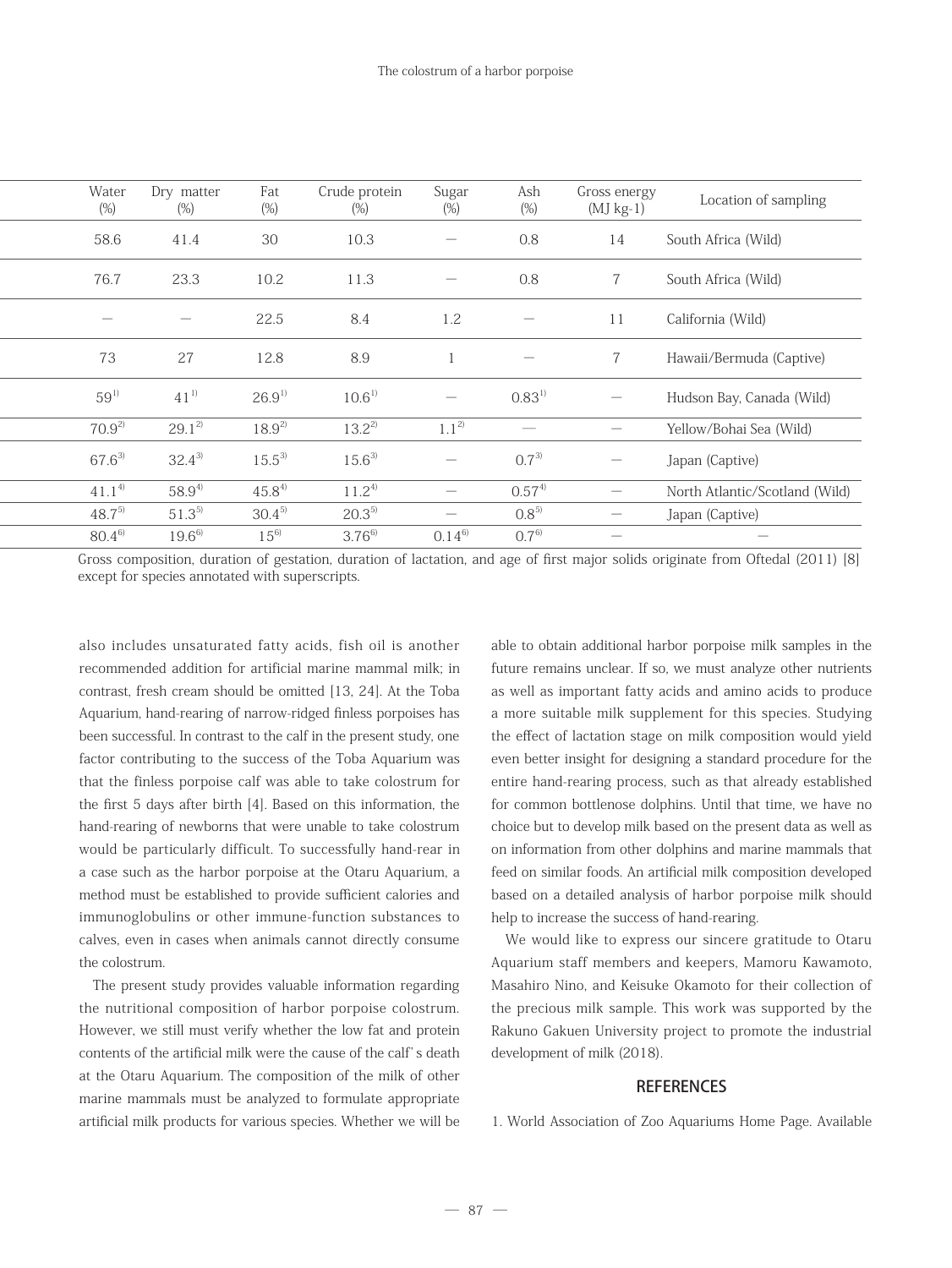Gross composition, duration of gestation, duration of lactation, and age of first major solids originate from Oftedal (2011) [8] except for species annotated with superscripts.

also includes unsaturated fatty acids, fish oil is another recommended addition for artificial marine mammal milk; in contrast, fresh cream should be omitted [13, 24]. At the Toba Aquarium, hand-rearing of narrow-ridged finless porpoises has been successful. In contrast to the calf in the present study, one factor contributing to the success of the Toba Aquarium was that the finless porpoise calf was able to take colostrum for the first 5 days after birth [4]. Based on this information, the hand-rearing of newborns that were unable to take colostrum would be particularly difficult. To successfully hand-rear in a case such as the harbor porpoise at the Otaru Aquarium, a method must be established to provide sufficient calories and immunoglobulins or other immune-function substances to calves, even in cases when animals cannot directly consume the colostrum.

 The present study provides valuable information regarding the nutritional composition of harbor porpoise colostrum. However, we still must verify whether the low fat and protein contents of the artificial milk were the cause of the calf' s death at the Otaru Aquarium. The composition of the milk of other marine mammals must be analyzed to formulate appropriate artificial milk products for various species. Whether we will be able to obtain additional harbor porpoise milk samples in the future remains unclear. If so, we must analyze other nutrients as well as important fatty acids and amino acids to produce a more suitable milk supplement for this species. Studying the effect of lactation stage on milk composition would yield even better insight for designing a standard procedure for the entire hand-rearing process, such as that already established for common bottlenose dolphins. Until that time, we have no choice but to develop milk based on the present data as well as on information from other dolphins and marine mammals that feed on similar foods. An artificial milk composition developed based on a detailed analysis of harbor porpoise milk should help to increase the success of hand-rearing.

 We would like to express our sincere gratitude to Otaru Aquarium staff members and keepers, Mamoru Kawamoto, Masahiro Nino, and Keisuke Okamoto for their collection of the precious milk sample. This work was supported by the Rakuno Gakuen University project to promote the industrial development of milk (2018).

#### **REFERENCES**

1. World Association of Zoo Aquariums Home Page. Available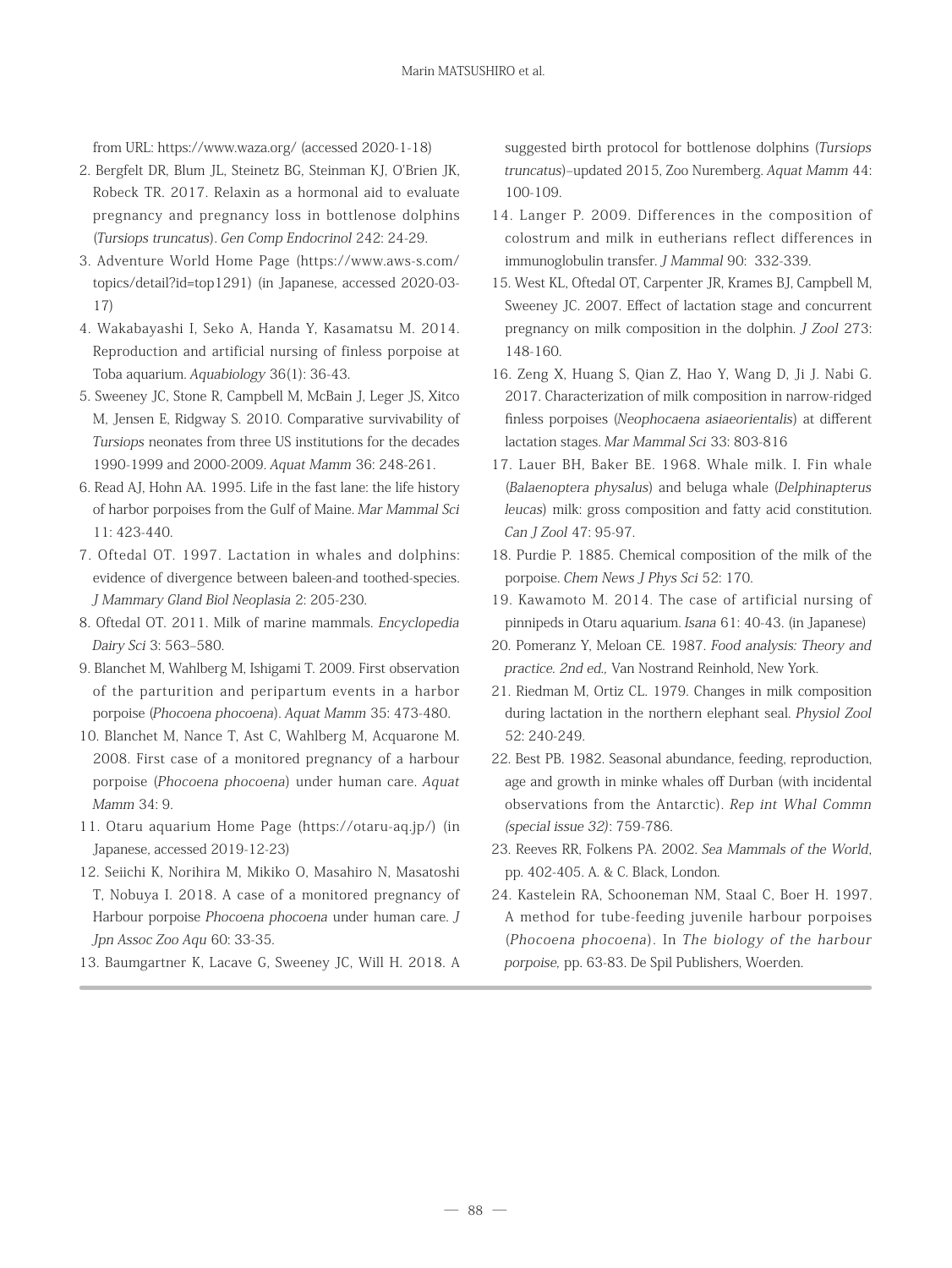from URL: https://www.waza.org/ (accessed 2020-1-18)

- 2. Bergfelt DR, Blum JL, Steinetz BG, Steinman KJ, O'Brien JK, Robeck TR. 2017. Relaxin as a hormonal aid to evaluate pregnancy and pregnancy loss in bottlenose dolphins (Tursiops truncatus). Gen Comp Endocrinol 242: 24-29.
- 3. Adventure World Home Page (https://www.aws-s.com/ topics/detail?id=top1291) (in Japanese, accessed 2020-03- 17)
- 4. Wakabayashi I, Seko A, Handa Y, Kasamatsu M. 2014. Reproduction and artificial nursing of finless porpoise at Toba aquarium. Aquabiology 36(1): 36-43.
- 5. Sweeney JC, Stone R, Campbell M, McBain J, Leger JS, Xitco M, Jensen E, Ridgway S. 2010. Comparative survivability of Tursiops neonates from three US institutions for the decades 1990-1999 and 2000-2009. Aquat Mamm 36: 248-261.
- 6. Read AJ, Hohn AA. 1995. Life in the fast lane: the life history of harbor porpoises from the Gulf of Maine. Mar Mammal Sci 11: 423-440.
- 7. Oftedal OT. 1997. Lactation in whales and dolphins: evidence of divergence between baleen-and toothed-species. J Mammary Gland Biol Neoplasia 2: 205-230.
- 8. Oftedal OT. 2011. Milk of marine mammals. Encyclopedia Dairy Sci 3: 563–580.
- 9. Blanchet M, Wahlberg M, Ishigami T. 2009. First observation of the parturition and peripartum events in a harbor porpoise (Phocoena phocoena). Aquat Mamm 35: 473-480.
- 10. Blanchet M, Nance T, Ast C, Wahlberg M, Acquarone M. 2008. First case of a monitored pregnancy of a harbour porpoise (Phocoena phocoena) under human care. Aquat Mamm 34: 9.
- 11. Otaru aquarium Home Page (https://otaru-aq.jp/) (in Japanese, accessed 2019-12-23)
- 12. Seiichi K, Norihira M, Mikiko O, Masahiro N, Masatoshi T, Nobuya I. 2018. A case of a monitored pregnancy of Harbour porpoise Phocoena phocoena under human care. J Jpn Assoc Zoo Aqu 60: 33-35.
- 13. Baumgartner K, Lacave G, Sweeney JC, Will H. 2018. A

suggested birth protocol for bottlenose dolphins (Tursiops truncatus)–updated 2015, Zoo Nuremberg. Aquat Mamm 44: 100-109.

- 14. Langer P. 2009. Differences in the composition of colostrum and milk in eutherians reflect differences in immunoglobulin transfer. J Mammal 90: 332-339.
- 15. West KL, Oftedal OT, Carpenter JR, Krames BJ, Campbell M, Sweeney JC. 2007. Effect of lactation stage and concurrent pregnancy on milk composition in the dolphin. J Zool 273: 148-160.
- 16. Zeng X, Huang S, Qian Z, Hao Y, Wang D, Ji J. Nabi G. 2017. Characterization of milk composition in narrow-ridged finless porpoises (Neophocaena asiaeorientalis) at different lactation stages. Mar Mammal Sci 33: 803-816
- 17. Lauer BH, Baker BE. 1968. Whale milk. I. Fin whale (Balaenoptera physalus) and beluga whale (Delphinapterus leucas) milk: gross composition and fatty acid constitution. Can J Zool 47: 95-97.
- 18. Purdie P. 1885. Chemical composition of the milk of the porpoise. Chem News J Phys Sci 52: 170.
- 19. Kawamoto M. 2014. The case of artificial nursing of pinnipeds in Otaru aquarium. Isana 61: 40-43. (in Japanese)
- 20. Pomeranz Y, Meloan CE. 1987. Food analysis: Theory and practice. 2nd ed., Van Nostrand Reinhold, New York.
- 21. Riedman M, Ortiz CL. 1979. Changes in milk composition during lactation in the northern elephant seal. Physiol Zool 52: 240-249.
- 22. Best PB. 1982. Seasonal abundance, feeding, reproduction, age and growth in minke whales off Durban (with incidental observations from the Antarctic). Rep int Whal Commn (special issue 32): 759-786.
- 23. Reeves RR, Folkens PA. 2002. Sea Mammals of the World, pp. 402-405. A. & C. Black, London.
- 24. Kastelein RA, Schooneman NM, Staal C, Boer H. 1997. A method for tube-feeding juvenile harbour porpoises (Phocoena phocoena). In The biology of the harbour porpoise, pp. 63-83. De Spil Publishers, Woerden.